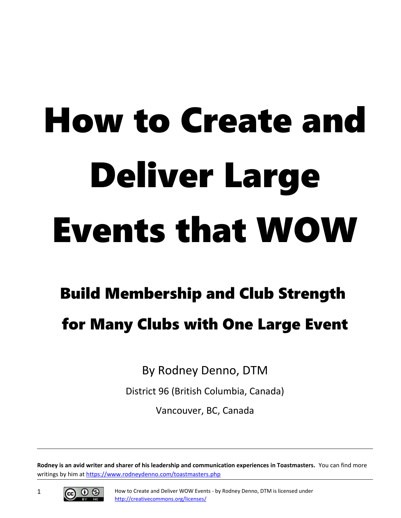# How to Create and Deliver Large Events that WOW

# Build Membership and Club Strength

# for Many Clubs with One Large Event

By Rodney Denno, DTM

District 96 (British Columbia, Canada)

Vancouver, BC, Canada

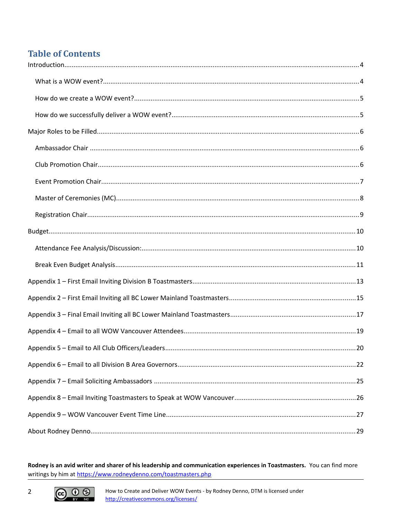### **Table of Contents**

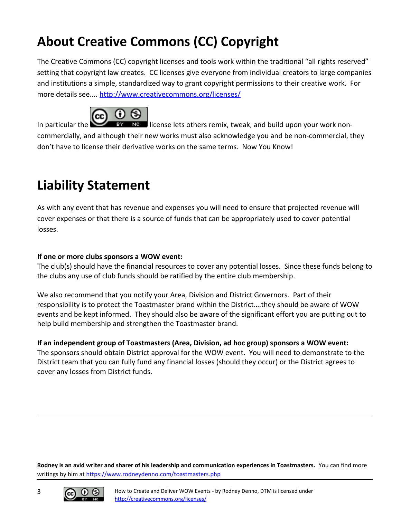### **About Creative Commons (CC) Copyright**

The Creative Commons (CC) copyright licenses and tools work within the traditional "all rights reserved" setting that copyright law creates. CC licenses give everyone from individual creators to large companies and institutions a simple, standardized way to grant copyright permissions to their creative work. For more details see....<http://www.creativecommons.org/licenses/>



In particular the  $\blacksquare$   $\blacksquare$   $\blacksquare$  license lets others remix, tweak, and build upon your work noncommercially, and although their new works must also acknowledge you and be non-commercial, they don't have to license their derivative works on the same terms. Now You Know!

### **Liability Statement**

As with any event that has revenue and expenses you will need to ensure that projected revenue will cover expenses or that there is a source of funds that can be appropriately used to cover potential losses.

### **If one or more clubs sponsors a WOW event:**

The club(s) should have the financial resources to cover any potential losses. Since these funds belong to the clubs any use of club funds should be ratified by the entire club membership.

We also recommend that you notify your Area, Division and District Governors. Part of their responsibility is to protect the Toastmaster brand within the District….they should be aware of WOW events and be kept informed. They should also be aware of the significant effort you are putting out to help build membership and strengthen the Toastmaster brand.

### **If an independent group of Toastmasters (Area, Division, ad hoc group) sponsors a WOW event:**

The sponsors should obtain District approval for the WOW event. You will need to demonstrate to the District team that you can fully fund any financial losses (should they occur) or the District agrees to cover any losses from District funds.



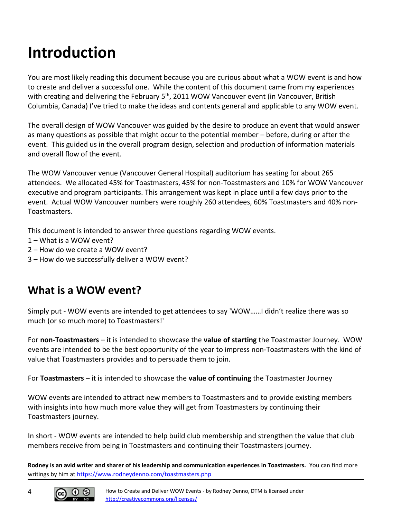# <span id="page-3-1"></span>**Introduction**

You are most likely reading this document because you are curious about what a WOW event is and how to create and deliver a successful one. While the content of this document came from my experiences with creating and delivering the February 5<sup>th</sup>, 2011 WOW Vancouver event (in Vancouver, British Columbia, Canada) I've tried to make the ideas and contents general and applicable to any WOW event.

The overall design of WOW Vancouver was guided by the desire to produce an event that would answer as many questions as possible that might occur to the potential member – before, during or after the event. This guided us in the overall program design, selection and production of information materials and overall flow of the event.

The WOW Vancouver venue (Vancouver General Hospital) auditorium has seating for about 265 attendees. We allocated 45% for Toastmasters, 45% for non-Toastmasters and 10% for WOW Vancouver executive and program participants. This arrangement was kept in place until a few days prior to the event. Actual WOW Vancouver numbers were roughly 260 attendees, 60% Toastmasters and 40% non-Toastmasters.

This document is intended to answer three questions regarding WOW events.

- 1 What is a WOW event?
- 2 How do we create a WOW event?
- 3 How do we successfully deliver a WOW event?

### <span id="page-3-0"></span>**What is a WOW event?**

Simply put - WOW events are intended to get attendees to say 'WOW……I didn't realize there was so much (or so much more) to Toastmasters!'

For **non-Toastmasters** – it is intended to showcase the **value of starting** the Toastmaster Journey. WOW events are intended to be the best opportunity of the year to impress non-Toastmasters with the kind of value that Toastmasters provides and to persuade them to join.

For **Toastmasters** – it is intended to showcase the **value of continuing** the Toastmaster Journey

WOW events are intended to attract new members to Toastmasters and to provide existing members with insights into how much more value they will get from Toastmasters by continuing their Toastmasters journey.

In short - WOW events are intended to help build club membership and strengthen the value that club members receive from being in Toastmasters and continuing their Toastmasters journey.

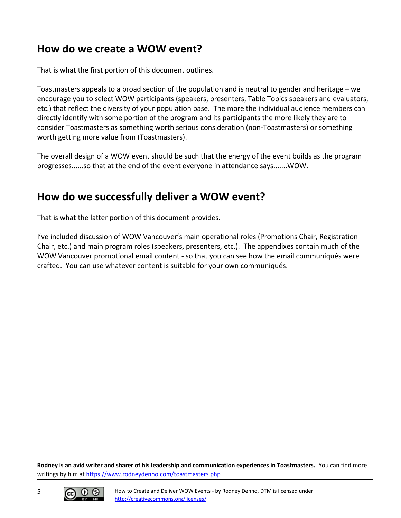### <span id="page-4-1"></span>**How do we create a WOW event?**

That is what the first portion of this document outlines.

Toastmasters appeals to a broad section of the population and is neutral to gender and heritage – we encourage you to select WOW participants (speakers, presenters, Table Topics speakers and evaluators, etc.) that reflect the diversity of your population base. The more the individual audience members can directly identify with some portion of the program and its participants the more likely they are to consider Toastmasters as something worth serious consideration (non-Toastmasters) or something worth getting more value from (Toastmasters).

The overall design of a WOW event should be such that the energy of the event builds as the program progresses......so that at the end of the event everyone in attendance says.......WOW.

### <span id="page-4-0"></span>**How do we successfully deliver a WOW event?**

That is what the latter portion of this document provides.

I've included discussion of WOW Vancouver's main operational roles (Promotions Chair, Registration Chair, etc.) and main program roles (speakers, presenters, etc.). The appendixes contain much of the WOW Vancouver promotional email content - so that you can see how the email communiqués were crafted. You can use whatever content is suitable for your own communiqués.

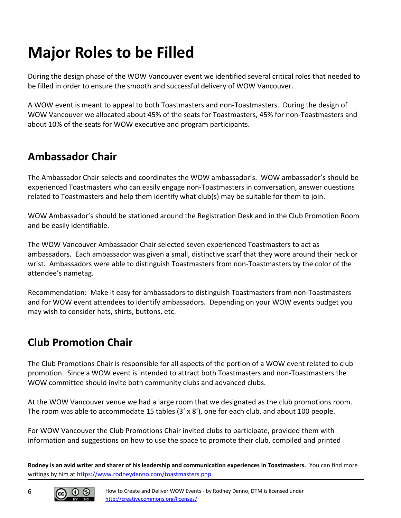# <span id="page-5-2"></span>**Major Roles to be Filled**

During the design phase of the WOW Vancouver event we identified several critical roles that needed to be filled in order to ensure the smooth and successful delivery of WOW Vancouver.

A WOW event is meant to appeal to both Toastmasters and non-Toastmasters. During the design of WOW Vancouver we allocated about 45% of the seats for Toastmasters, 45% for non-Toastmasters and about 10% of the seats for WOW executive and program participants.

### <span id="page-5-1"></span>**Ambassador Chair**

The Ambassador Chair selects and coordinates the WOW ambassador's. WOW ambassador's should be experienced Toastmasters who can easily engage non-Toastmasters in conversation, answer questions related to Toastmasters and help them identify what club(s) may be suitable for them to join.

WOW Ambassador's should be stationed around the Registration Desk and in the Club Promotion Room and be easily identifiable.

The WOW Vancouver Ambassador Chair selected seven experienced Toastmasters to act as ambassadors. Each ambassador was given a small, distinctive scarf that they wore around their neck or wrist. Ambassadors were able to distinguish Toastmasters from non-Toastmasters by the color of the attendee's nametag.

Recommendation: Make it easy for ambassadors to distinguish Toastmasters from non-Toastmasters and for WOW event attendees to identify ambassadors. Depending on your WOW events budget you may wish to consider hats, shirts, buttons, etc.

### <span id="page-5-0"></span>**Club Promotion Chair**

The Club Promotions Chair is responsible for all aspects of the portion of a WOW event related to club promotion. Since a WOW event is intended to attract both Toastmasters and non-Toastmasters the WOW committee should invite both community clubs and advanced clubs.

At the WOW Vancouver venue we had a large room that we designated as the club promotions room. The room was able to accommodate 15 tables (3' x 8'), one for each club, and about 100 people.

For WOW Vancouver the Club Promotions Chair invited clubs to participate, provided them with information and suggestions on how to use the space to promote their club, compiled and printed

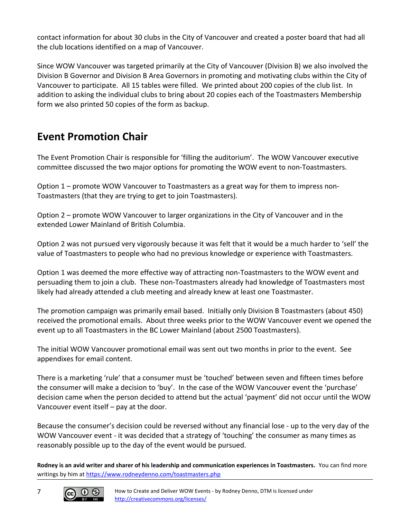contact information for about 30 clubs in the City of Vancouver and created a poster board that had all the club locations identified on a map of Vancouver.

Since WOW Vancouver was targeted primarily at the City of Vancouver (Division B) we also involved the Division B Governor and Division B Area Governors in promoting and motivating clubs within the City of Vancouver to participate. All 15 tables were filled. We printed about 200 copies of the club list. In addition to asking the individual clubs to bring about 20 copies each of the Toastmasters Membership form we also printed 50 copies of the form as backup.

### <span id="page-6-0"></span>**Event Promotion Chair**

The Event Promotion Chair is responsible for 'filling the auditorium'. The WOW Vancouver executive committee discussed the two major options for promoting the WOW event to non-Toastmasters.

Option 1 – promote WOW Vancouver to Toastmasters as a great way for them to impress non-Toastmasters (that they are trying to get to join Toastmasters).

Option 2 – promote WOW Vancouver to larger organizations in the City of Vancouver and in the extended Lower Mainland of British Columbia.

Option 2 was not pursued very vigorously because it was felt that it would be a much harder to 'sell' the value of Toastmasters to people who had no previous knowledge or experience with Toastmasters.

Option 1 was deemed the more effective way of attracting non-Toastmasters to the WOW event and persuading them to join a club. These non-Toastmasters already had knowledge of Toastmasters most likely had already attended a club meeting and already knew at least one Toastmaster.

The promotion campaign was primarily email based. Initially only Division B Toastmasters (about 450) received the promotional emails. About three weeks prior to the WOW Vancouver event we opened the event up to all Toastmasters in the BC Lower Mainland (about 2500 Toastmasters).

The initial WOW Vancouver promotional email was sent out two months in prior to the event. See appendixes for email content.

There is a marketing 'rule' that a consumer must be 'touched' between seven and fifteen times before the consumer will make a decision to 'buy'. In the case of the WOW Vancouver event the 'purchase' decision came when the person decided to attend but the actual 'payment' did not occur until the WOW Vancouver event itself – pay at the door.

Because the consumer's decision could be reversed without any financial lose - up to the very day of the WOW Vancouver event - it was decided that a strategy of 'touching' the consumer as many times as reasonably possible up to the day of the event would be pursued.

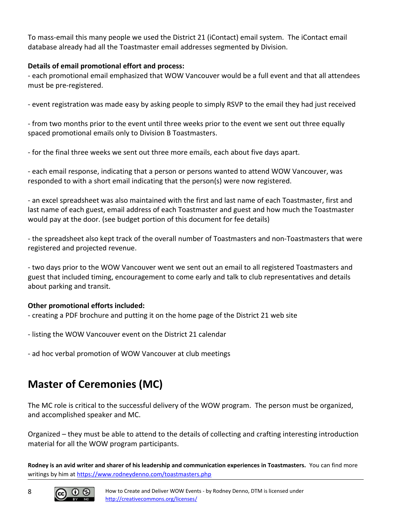To mass-email this many people we used the District 21 (iContact) email system. The iContact email database already had all the Toastmaster email addresses segmented by Division.

### **Details of email promotional effort and process:**

- each promotional email emphasized that WOW Vancouver would be a full event and that all attendees must be pre-registered.

- event registration was made easy by asking people to simply RSVP to the email they had just received

- from two months prior to the event until three weeks prior to the event we sent out three equally spaced promotional emails only to Division B Toastmasters.

- for the final three weeks we sent out three more emails, each about five days apart.

- each email response, indicating that a person or persons wanted to attend WOW Vancouver, was responded to with a short email indicating that the person(s) were now registered.

- an excel spreadsheet was also maintained with the first and last name of each Toastmaster, first and last name of each guest, email address of each Toastmaster and guest and how much the Toastmaster would pay at the door. (see budget portion of this document for fee details)

- the spreadsheet also kept track of the overall number of Toastmasters and non-Toastmasters that were registered and projected revenue.

- two days prior to the WOW Vancouver went we sent out an email to all registered Toastmasters and guest that included timing, encouragement to come early and talk to club representatives and details about parking and transit.

### **Other promotional efforts included:**

- creating a PDF brochure and putting it on the home page of the District 21 web site

- listing the WOW Vancouver event on the District 21 calendar
- ad hoc verbal promotion of WOW Vancouver at club meetings

### <span id="page-7-0"></span>**Master of Ceremonies (MC)**

The MC role is critical to the successful delivery of the WOW program. The person must be organized, and accomplished speaker and MC.

Organized – they must be able to attend to the details of collecting and crafting interesting introduction material for all the WOW program participants.

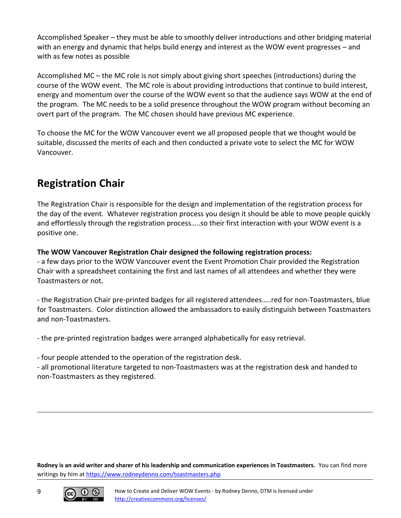Accomplished Speaker – they must be able to smoothly deliver introductions and other bridging material with an energy and dynamic that helps build energy and interest as the WOW event progresses – and with as few notes as possible

Accomplished MC – the MC role is not simply about giving short speeches (introductions) during the course of the WOW event. The MC role is about providing introductions that continue to build interest, energy and momentum over the course of the WOW event so that the audience says WOW at the end of the program. The MC needs to be a solid presence throughout the WOW program without becoming an overt part of the program. The MC chosen should have previous MC experience.

To choose the MC for the WOW Vancouver event we all proposed people that we thought would be suitable, discussed the merits of each and then conducted a private vote to select the MC for WOW Vancouver.

### <span id="page-8-0"></span>**Registration Chair**

The Registration Chair is responsible for the design and implementation of the registration process for the day of the event. Whatever registration process you design it should be able to move people quickly and effortlessly through the registration process…..so their first interaction with your WOW event is a positive one.

### **The WOW Vancouver Registration Chair designed the following registration process:**

- a few days prior to the WOW Vancouver event the Event Promotion Chair provided the Registration Chair with a spreadsheet containing the first and last names of all attendees and whether they were Toastmasters or not.

- the Registration Chair pre-printed badges for all registered attendees…..red for non-Toastmasters, blue for Toastmasters. Color distinction allowed the ambassadors to easily distinguish between Toastmasters and non-Toastmasters.

- the pre-printed registration badges were arranged alphabetically for easy retrieval.

- four people attended to the operation of the registration desk.

- all promotional literature targeted to non-Toastmasters was at the registration desk and handed to non-Toastmasters as they registered.

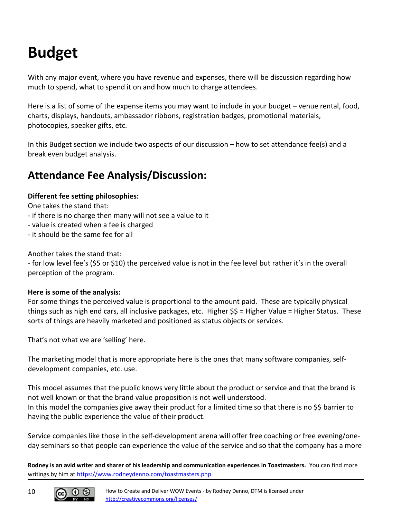# <span id="page-9-1"></span>**Budget**

With any major event, where you have revenue and expenses, there will be discussion regarding how much to spend, what to spend it on and how much to charge attendees.

Here is a list of some of the expense items you may want to include in your budget – venue rental, food, charts, displays, handouts, ambassador ribbons, registration badges, promotional materials, photocopies, speaker gifts, etc.

In this Budget section we include two aspects of our discussion – how to set attendance fee(s) and a break even budget analysis.

### <span id="page-9-0"></span>**Attendance Fee Analysis/Discussion:**

### **Different fee setting philosophies:**

One takes the stand that:

- if there is no charge then many will not see a value to it
- value is created when a fee is charged
- it should be the same fee for all

### Another takes the stand that:

- for low level fee's (\$5 or \$10) the perceived value is not in the fee level but rather it's in the overall perception of the program.

### **Here is some of the analysis:**

For some things the perceived value is proportional to the amount paid. These are typically physical things such as high end cars, all inclusive packages, etc. Higher \$\$ = Higher Value = Higher Status. These sorts of things are heavily marketed and positioned as status objects or services.

That's not what we are 'selling' here.

The marketing model that is more appropriate here is the ones that many software companies, selfdevelopment companies, etc. use.

This model assumes that the public knows very little about the product or service and that the brand is not well known or that the brand value proposition is not well understood. In this model the companies give away their product for a limited time so that there is no \$\$ barrier to having the public experience the value of their product.

Service companies like those in the self-development arena will offer free coaching or free evening/oneday seminars so that people can experience the value of the service and so that the company has a more

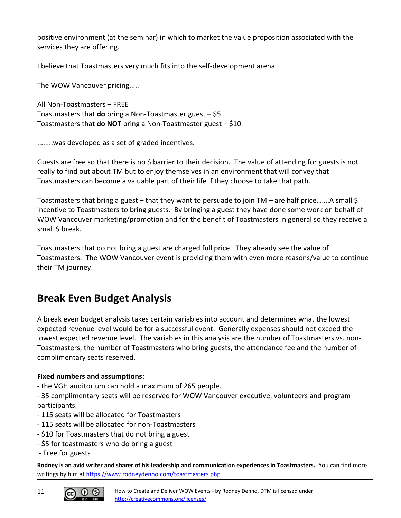positive environment (at the seminar) in which to market the value proposition associated with the services they are offering.

I believe that Toastmasters very much fits into the self-development arena.

The WOW Vancouver pricing.....

All Non-Toastmasters – FREE Toastmasters that **do** bring a Non-Toastmaster guest – \$5 Toastmasters that **do NOT** bring a Non-Toastmaster guest – \$10

........was developed as a set of graded incentives.

Guests are free so that there is no \$ barrier to their decision. The value of attending for guests is not really to find out about TM but to enjoy themselves in an environment that will convey that Toastmasters can become a valuable part of their life if they choose to take that path.

Toastmasters that bring a guest – that they want to persuade to join TM – are half price…….A small \$ incentive to Toastmasters to bring guests. By bringing a guest they have done some work on behalf of WOW Vancouver marketing/promotion and for the benefit of Toastmasters in general so they receive a small \$ break.

Toastmasters that do not bring a guest are charged full price. They already see the value of Toastmasters. The WOW Vancouver event is providing them with even more reasons/value to continue their TM journey.

### <span id="page-10-0"></span>**Break Even Budget Analysis**

A break even budget analysis takes certain variables into account and determines what the lowest expected revenue level would be for a successful event. Generally expenses should not exceed the lowest expected revenue level. The variables in this analysis are the number of Toastmasters vs. non-Toastmasters, the number of Toastmasters who bring guests, the attendance fee and the number of complimentary seats reserved.

### **Fixed numbers and assumptions:**

- the VGH auditorium can hold a maximum of 265 people.

- 35 complimentary seats will be reserved for WOW Vancouver executive, volunteers and program participants.

- 115 seats will be allocated for Toastmasters
- 115 seats will be allocated for non-Toastmasters
- \$10 for Toastmasters that do not bring a guest
- \$5 for toastmasters who do bring a guest
- Free for guests



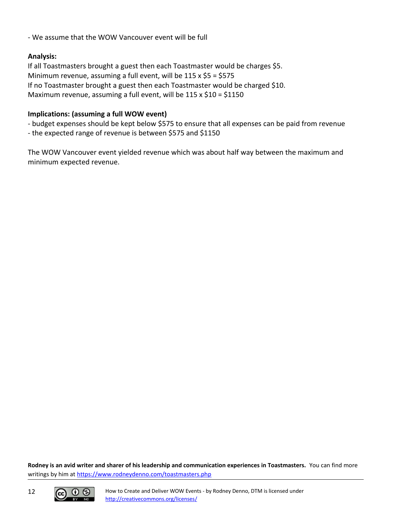- We assume that the WOW Vancouver event will be full

#### **Analysis:**

If all Toastmasters brought a guest then each Toastmaster would be charges \$5. Minimum revenue, assuming a full event, will be 115 x \$5 = \$575 If no Toastmaster brought a guest then each Toastmaster would be charged \$10. Maximum revenue, assuming a full event, will be 115 x \$10 = \$1150

#### **Implications: (assuming a full WOW event)**

- budget expenses should be kept below \$575 to ensure that all expenses can be paid from revenue
- the expected range of revenue is between \$575 and \$1150

The WOW Vancouver event yielded revenue which was about half way between the maximum and minimum expected revenue.

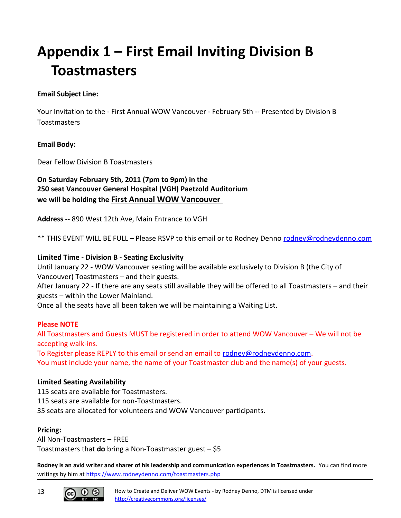# <span id="page-12-0"></span>**Appendix 1 – First Email Inviting Division B Toastmasters**

### **Email Subject Line:**

Your Invitation to the - First Annual WOW Vancouver - February 5th -- Presented by Division B Toastmasters

### **Email Body:**

Dear Fellow Division B Toastmasters

**On Saturday February 5th, 2011 (7pm to 9pm) in the 250 seat Vancouver General Hospital (VGH) Paetzold Auditorium we will be holding the First Annual WOW Vancouver** 

**Address --** 890 West 12th Ave, Main Entrance to VGH

\*\* THIS EVENT WILL BE FULL – Please RSVP to this email or to Rodney Denno [rodney@rodneydenno.com](mailto:rodney@rodneydenno.com)

### **Limited Time - Division B - Seating Exclusivity**

Until January 22 - WOW Vancouver seating will be available exclusively to Division B (the City of Vancouver) Toastmasters – and their guests.

After January 22 - If there are any seats still available they will be offered to all Toastmasters – and their guests – within the Lower Mainland.

Once all the seats have all been taken we will be maintaining a Waiting List.

### **Please NOTE**

All Toastmasters and Guests MUST be registered in order to attend WOW Vancouver – We will not be accepting walk-ins. To Register please REPLY to this email or send an email to [rodney@rodneydenno.com.](mailto:rodney@rodneydenno.com) You must include your name, the name of your Toastmaster club and the name(s) of your guests.

### **Limited Seating Availability**

115 seats are available for Toastmasters. 115 seats are available for non-Toastmasters. 35 seats are allocated for volunteers and WOW Vancouver participants.

### **Pricing:**

All Non-Toastmasters – FREE Toastmasters that **do** bring a Non-Toastmaster guest – \$5



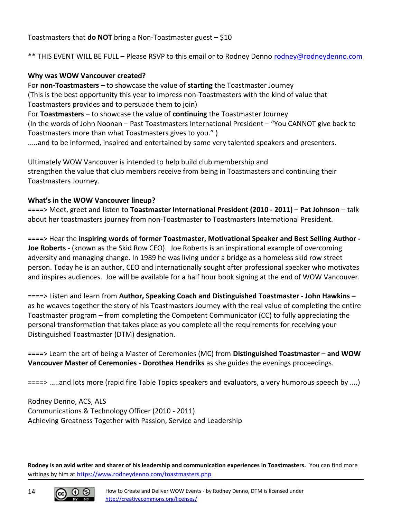### Toastmasters that **do NOT** bring a Non-Toastmaster guest – \$10

\*\* THIS EVENT WILL BE FULL – Please RSVP to this email or to Rodney Denno [rodney@rodneydenno.com](mailto:rodney@rodneydenno.com)

#### **Why was WOW Vancouver created?**

For **non-Toastmasters** – to showcase the value of **starting** the Toastmaster Journey (This is the best opportunity this year to impress non-Toastmasters with the kind of value that Toastmasters provides and to persuade them to join) For **Toastmasters** – to showcase the value of **continuing** the Toastmaster Journey (In the words of John Noonan – Past Toastmasters International President – "You CANNOT give back to Toastmasters more than what Toastmasters gives to you." ) .....and to be informed, inspired and entertained by some very talented speakers and presenters.

Ultimately WOW Vancouver is intended to help build club membership and strengthen the value that club members receive from being in Toastmasters and continuing their Toastmasters Journey.

#### **What's in the WOW Vancouver lineup?**

====> Meet, greet and listen to **Toastmaster International President (2010 - 2011) – Pat Johnson** – talk about her toastmasters journey from non-Toastmaster to Toastmasters International President.

====> Hear the **inspiring words of former Toastmaster, Motivational Speaker and Best Selling Author - Joe Roberts** - (known as the Skid Row CEO). Joe Roberts is an inspirational example of overcoming adversity and managing change. In 1989 he was living under a bridge as a homeless skid row street person. Today he is an author, CEO and internationally sought after professional speaker who motivates and inspires audiences. Joe will be available for a half hour book signing at the end of WOW Vancouver.

====> Listen and learn from **Author, Speaking Coach and Distinguished Toastmaster - John Hawkins –**  as he weaves together the story of his Toastmasters Journey with the real value of completing the entire Toastmaster program – from completing the Competent Communicator (CC) to fully appreciating the personal transformation that takes place as you complete all the requirements for receiving your Distinguished Toastmaster (DTM) designation.

====> Learn the art of being a Master of Ceremonies (MC) from **Distinguished Toastmaster – and WOW Vancouver Master of Ceremonies - Dorothea Hendriks** as she guides the evenings proceedings.

====> .....and lots more (rapid fire Table Topics speakers and evaluators, a very humorous speech by ....)

Rodney Denno, ACS, ALS Communications & Technology Officer (2010 - 2011) Achieving Greatness Together with Passion, Service and Leadership

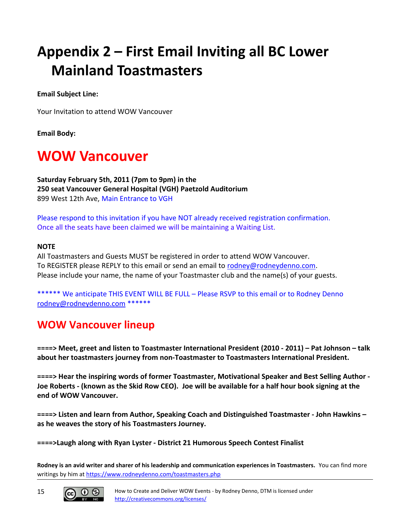# <span id="page-14-0"></span>**Appendix 2 – First Email Inviting all BC Lower Mainland Toastmasters**

**Email Subject Line:**

Your Invitation to attend WOW Vancouver

**Email Body:**

### **WOW Vancouver**

**Saturday February 5th, 2011 (7pm to 9pm) in the 250 seat Vancouver General Hospital (VGH) Paetzold Auditorium** 899 West 12th Ave, Main Entrance to VGH

Please respond to this invitation if you have NOT already received registration confirmation. Once all the seats have been claimed we will be maintaining a Waiting List.

#### **NOTE**

All Toastmasters and Guests MUST be registered in order to attend WOW Vancouver. To REGISTER please REPLY to this email or send an email to [rodney@rodneydenno.com.](mailto:rodney@rodneydenno.com) Please include your name, the name of your Toastmaster club and the name(s) of your guests.

\*\*\*\*\*\* We anticipate THIS EVENT WILL BE FULL – Please RSVP to this email or to Rodney Denno [rodney@rodneydenno.com](mailto:rodney@rodneydenno.com) \*\*\*\*\*\*

### **WOW Vancouver lineup**

**====> Meet, greet and listen to Toastmaster International President (2010 - 2011) – Pat Johnson – talk about her toastmasters journey from non-Toastmaster to Toastmasters International President.**

**====> Hear the inspiring words of former Toastmaster, Motivational Speaker and Best Selling Author - Joe Roberts - (known as the Skid Row CEO). Joe will be available for a half hour book signing at the end of WOW Vancouver.**

**====> Listen and learn from Author, Speaking Coach and Distinguished Toastmaster - John Hawkins – as he weaves the story of his Toastmasters Journey.**

**====>Laugh along with Ryan Lyster - District 21 Humorous Speech Contest Finalist**



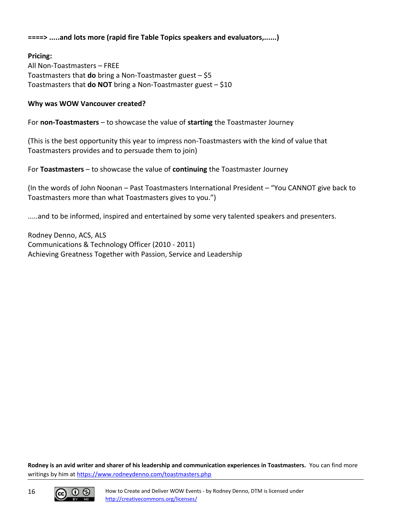#### **====> .....and lots more (rapid fire Table Topics speakers and evaluators,......)**

**Pricing:**

All Non-Toastmasters – FREE Toastmasters that **do** bring a Non-Toastmaster guest – \$5 Toastmasters that **do NOT** bring a Non-Toastmaster guest – \$10

#### **Why was WOW Vancouver created?**

For **non-Toastmasters** – to showcase the value of **starting** the Toastmaster Journey

(This is the best opportunity this year to impress non-Toastmasters with the kind of value that Toastmasters provides and to persuade them to join)

For **Toastmasters** – to showcase the value of **continuing** the Toastmaster Journey

(In the words of John Noonan – Past Toastmasters International President – "You CANNOT give back to Toastmasters more than what Toastmasters gives to you.")

.....and to be informed, inspired and entertained by some very talented speakers and presenters.

Rodney Denno, ACS, ALS Communications & Technology Officer (2010 - 2011) Achieving Greatness Together with Passion, Service and Leadership

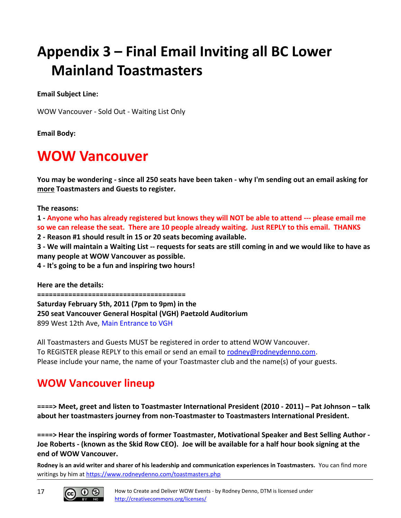# <span id="page-16-0"></span>**Appendix 3 – Final Email Inviting all BC Lower Mainland Toastmasters**

**Email Subject Line:**

WOW Vancouver - Sold Out - Waiting List Only

**Email Body:**

### **WOW Vancouver**

**You may be wondering - since all 250 seats have been taken - why I'm sending out an email asking for more Toastmasters and Guests to register.**

**The reasons:**

**1 - Anyone who has already registered but knows they will NOT be able to attend --- please email me so we can release the seat. There are 10 people already waiting. Just REPLY to this email. THANKS**

**2 - Reason #1 should result in 15 or 20 seats becoming available.**

**3 - We will maintain a Waiting List -- requests for seats are still coming in and we would like to have as many people at WOW Vancouver as possible.**

**4 - It's going to be a fun and inspiring two hours!**

**Here are the details:**

**======================================**

**Saturday February 5th, 2011 (7pm to 9pm) in the** 

**250 seat Vancouver General Hospital (VGH) Paetzold Auditorium**

899 West 12th Ave, Main Entrance to VGH

All Toastmasters and Guests MUST be registered in order to attend WOW Vancouver. To REGISTER please REPLY to this email or send an email to [rodney@rodneydenno.com.](mailto:rodney@rodneydenno.com) Please include your name, the name of your Toastmaster club and the name(s) of your guests.

### **WOW Vancouver lineup**

**====> Meet, greet and listen to Toastmaster International President (2010 - 2011) – Pat Johnson – talk about her toastmasters journey from non-Toastmaster to Toastmasters International President.**

**====> Hear the inspiring words of former Toastmaster, Motivational Speaker and Best Selling Author - Joe Roberts - (known as the Skid Row CEO). Joe will be available for a half hour book signing at the end of WOW Vancouver.**

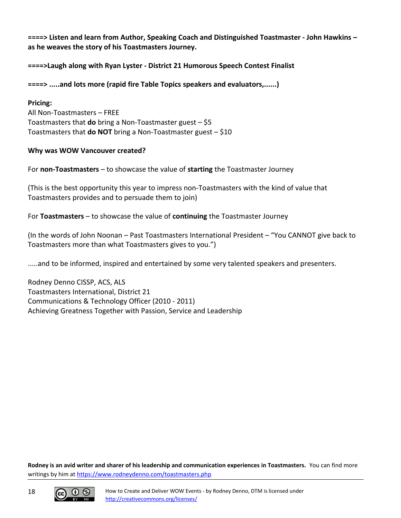**====> Listen and learn from Author, Speaking Coach and Distinguished Toastmaster - John Hawkins – as he weaves the story of his Toastmasters Journey.**

**====>Laugh along with Ryan Lyster - District 21 Humorous Speech Contest Finalist**

**====> .....and lots more (rapid fire Table Topics speakers and evaluators,......)**

**Pricing:** All Non-Toastmasters – FREE Toastmasters that **do** bring a Non-Toastmaster guest – \$5 Toastmasters that **do NOT** bring a Non-Toastmaster guest – \$10

#### **Why was WOW Vancouver created?**

For **non-Toastmasters** – to showcase the value of **starting** the Toastmaster Journey

(This is the best opportunity this year to impress non-Toastmasters with the kind of value that Toastmasters provides and to persuade them to join)

For **Toastmasters** – to showcase the value of **continuing** the Toastmaster Journey

(In the words of John Noonan – Past Toastmasters International President – "You CANNOT give back to Toastmasters more than what Toastmasters gives to you.")

.....and to be informed, inspired and entertained by some very talented speakers and presenters.

Rodney Denno CISSP, ACS, ALS Toastmasters International, District 21 Communications & Technology Officer (2010 - 2011) Achieving Greatness Together with Passion, Service and Leadership

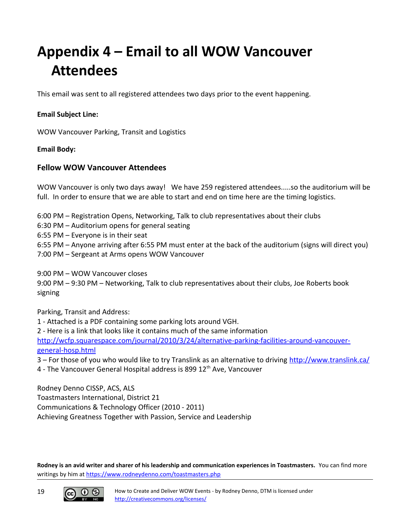# <span id="page-18-0"></span>**Appendix 4 – Email to all WOW Vancouver Attendees**

This email was sent to all registered attendees two days prior to the event happening.

#### **Email Subject Line:**

WOW Vancouver Parking, Transit and Logistics

#### **Email Body:**

### **Fellow WOW Vancouver Attendees**

WOW Vancouver is only two days away! We have 259 registered attendees.....so the auditorium will be full. In order to ensure that we are able to start and end on time here are the timing logistics.

6:00 PM – Registration Opens, Networking, Talk to club representatives about their clubs

6:30 PM – Auditorium opens for general seating

6:55 PM – Everyone is in their seat

6:55 PM – Anyone arriving after 6:55 PM must enter at the back of the auditorium (signs will direct you)

7:00 PM – Sergeant at Arms opens WOW Vancouver

9:00 PM – WOW Vancouver closes

9:00 PM – 9:30 PM – Networking, Talk to club representatives about their clubs, Joe Roberts book signing

Parking, Transit and Address:

1 - Attached is a PDF containing some parking lots around VGH.

2 - Here is a link that looks like it contains much of the same information

[http://wcfp.squarespace.com/journal/2010/3/24/alternative-parking-facilities-around-vancouver](http://wcfp.squarespace.com/journal/2010/3/24/alternative-parking-facilities-around-vancouver-general-hosp.html)[general-hosp.html](http://wcfp.squarespace.com/journal/2010/3/24/alternative-parking-facilities-around-vancouver-general-hosp.html)

3 – For those of you who would like to try Translink as an alternative to driving<http://www.translink.ca/>

4 - The Vancouver General Hospital address is 899 12<sup>th</sup> Ave, Vancouver

Rodney Denno CISSP, ACS, ALS Toastmasters International, District 21 Communications & Technology Officer (2010 - 2011) Achieving Greatness Together with Passion, Service and Leadership

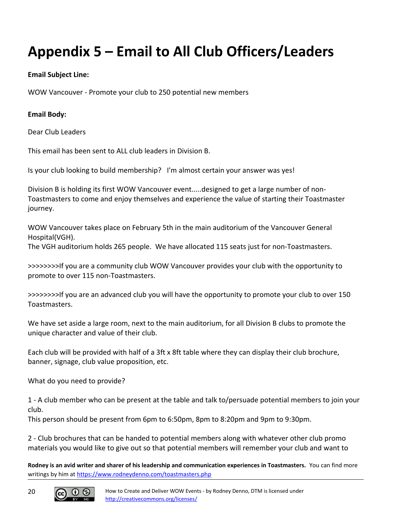# <span id="page-19-0"></span>**Appendix 5 – Email to All Club Officers/Leaders**

### **Email Subject Line:**

WOW Vancouver - Promote your club to 250 potential new members

#### **Email Body:**

Dear Club Leaders

This email has been sent to ALL club leaders in Division B.

Is your club looking to build membership? I'm almost certain your answer was yes!

Division B is holding its first WOW Vancouver event.....designed to get a large number of non-Toastmasters to come and enjoy themselves and experience the value of starting their Toastmaster journey.

WOW Vancouver takes place on February 5th in the main auditorium of the Vancouver General Hospital(VGH). The VGH auditorium holds 265 people. We have allocated 115 seats just for non-Toastmasters.

>>>>>>>>If you are a community club WOW Vancouver provides your club with the opportunity to promote to over 115 non-Toastmasters.

>>>>>>>>If you are an advanced club you will have the opportunity to promote your club to over 150 Toastmasters.

We have set aside a large room, next to the main auditorium, for all Division B clubs to promote the unique character and value of their club.

Each club will be provided with half of a 3ft x 8ft table where they can display their club brochure, banner, signage, club value proposition, etc.

What do you need to provide?

1 - A club member who can be present at the table and talk to/persuade potential members to join your club.

This person should be present from 6pm to 6:50pm, 8pm to 8:20pm and 9pm to 9:30pm.

2 - Club brochures that can be handed to potential members along with whatever other club promo materials you would like to give out so that potential members will remember your club and want to

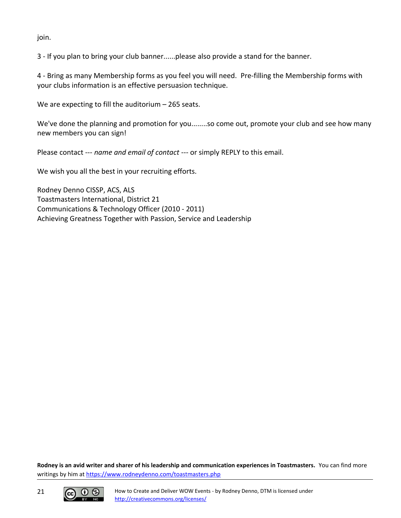join.

3 - If you plan to bring your club banner......please also provide a stand for the banner.

4 - Bring as many Membership forms as you feel you will need. Pre-filling the Membership forms with your clubs information is an effective persuasion technique.

We are expecting to fill the auditorium – 265 seats.

We've done the planning and promotion for you........so come out, promote your club and see how many new members you can sign!

Please contact --- *name and email of contact* --- or simply REPLY to this email.

We wish you all the best in your recruiting efforts.

Rodney Denno CISSP, ACS, ALS Toastmasters International, District 21 Communications & Technology Officer (2010 - 2011) Achieving Greatness Together with Passion, Service and Leadership



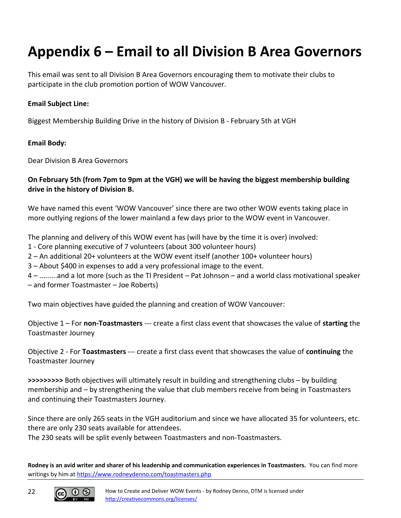### <span id="page-21-0"></span>**Appendix 6 – Email to all Division B Area Governors**

This email was sent to all Division B Area Governors encouraging them to motivate their clubs to participate in the club promotion portion of WOW Vancouver.

#### **Email Subject Line:**

Biggest Membership Building Drive in the history of Division B - February 5th at VGH

#### **Email Body:**

Dear Division B Area Governors

#### **On February 5th (from 7pm to 9pm at the VGH) we will be having the biggest membership building drive in the history of Division B.**

We have named this event 'WOW Vancouver' since there are two other WOW events taking place in more outlying regions of the lower mainland a few days prior to the WOW event in Vancouver.

The planning and delivery of this WOW event has (will have by the time it is over) involved:

- 1 Core planning executive of 7 volunteers (about 300 volunteer hours)
- 2 An additional 20+ volunteers at the WOW event itself (another 100+ volunteer hours)
- 3 About \$400 in expenses to add a very professional image to the event.

4 – .........and a lot more (such as the TI President – Pat Johnson – and a world class motivational speaker – and former Toastmaster – Joe Roberts)

Two main objectives have guided the planning and creation of WOW Vancouver:

Objective 1 – For **non-Toastmasters** --- create a first class event that showcases the value of **starting** the Toastmaster Journey

Objective 2 - For **Toastmasters** --- create a first class event that showcases the value of **continuing** the Toastmaster Journey

**>>>>>>>>>** Both objectives will ultimately result in building and strengthening clubs – by building membership and – by strengthening the value that club members receive from being in Toastmasters and continuing their Toastmasters Journey.

Since there are only 265 seats in the VGH auditorium and since we have allocated 35 for volunteers, etc. there are only 230 seats available for attendees.

The 230 seats will be split evenly between Toastmasters and non-Toastmasters.

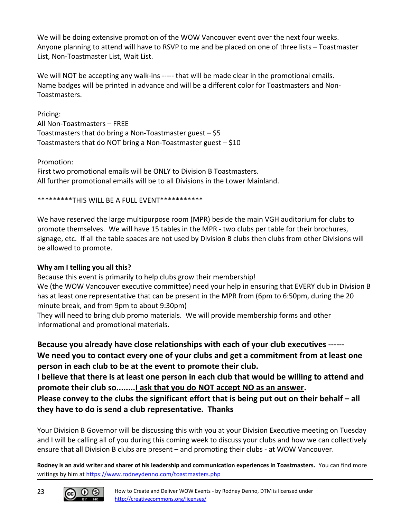We will be doing extensive promotion of the WOW Vancouver event over the next four weeks. Anyone planning to attend will have to RSVP to me and be placed on one of three lists – Toastmaster List, Non-Toastmaster List, Wait List.

We will NOT be accepting any walk-ins ----- that will be made clear in the promotional emails. Name badges will be printed in advance and will be a different color for Toastmasters and Non-Toastmasters.

Pricing: All Non-Toastmasters – FREE Toastmasters that do bring a Non-Toastmaster guest  $-$  \$5 Toastmasters that do NOT bring a Non-Toastmaster guest  $-$  \$10

Promotion:

First two promotional emails will be ONLY to Division B Toastmasters. All further promotional emails will be to all Divisions in the Lower Mainland.

\*\*\*\*\*\*\*\*\*THIS WILL BE A FULL EVENT\*\*\*\*\*\*\*\*\*\*\*

We have reserved the large multipurpose room (MPR) beside the main VGH auditorium for clubs to promote themselves. We will have 15 tables in the MPR - two clubs per table for their brochures, signage, etc. If all the table spaces are not used by Division B clubs then clubs from other Divisions will be allowed to promote.

### **Why am I telling you all this?**

Because this event is primarily to help clubs grow their membership! We (the WOW Vancouver executive committee) need your help in ensuring that EVERY club in Division B

has at least one representative that can be present in the MPR from (6pm to 6:50pm, during the 20 minute break, and from 9pm to about 9:30pm)

They will need to bring club promo materials. We will provide membership forms and other informational and promotional materials.

**Because you already have close relationships with each of your club executives ------ We need you to contact every one of your clubs and get a commitment from at least one person in each club to be at the event to promote their club.**

**I believe that there is at least one person in each club that would be willing to attend and promote their club so........I ask that you do NOT accept NO as an answer.**

**Please convey to the clubs the significant effort that is being put out on their behalf – all they have to do is send a club representative. Thanks**

Your Division B Governor will be discussing this with you at your Division Executive meeting on Tuesday and I will be calling all of you during this coming week to discuss your clubs and how we can collectively ensure that all Division B clubs are present – and promoting their clubs - at WOW Vancouver.

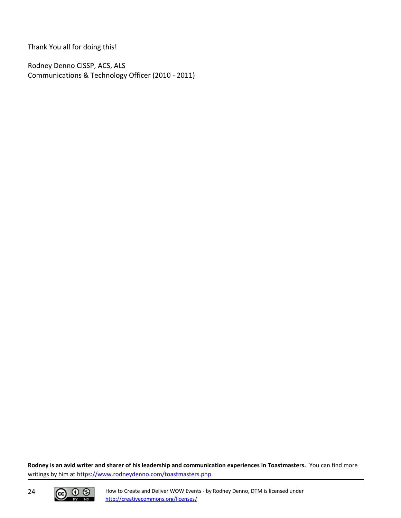Thank You all for doing this!

Rodney Denno CISSP, ACS, ALS Communications & Technology Officer (2010 - 2011)

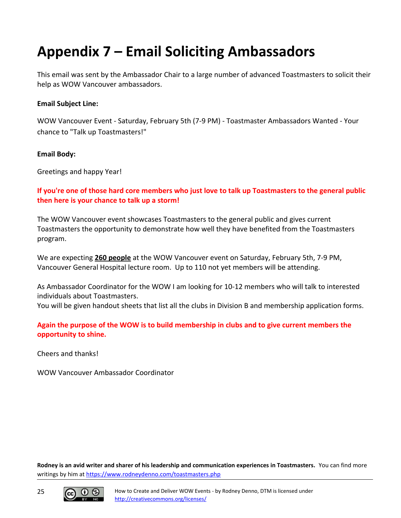## <span id="page-24-0"></span>**Appendix 7 – Email Soliciting Ambassadors**

This email was sent by the Ambassador Chair to a large number of advanced Toastmasters to solicit their help as WOW Vancouver ambassadors.

#### **Email Subject Line:**

WOW Vancouver Event - Saturday, February 5th (7-9 PM) - Toastmaster Ambassadors Wanted - Your chance to "Talk up Toastmasters!"

#### **Email Body:**

Greetings and happy Year!

### **If you're one of those hard core members who just love to talk up Toastmasters to the general public then here is your chance to talk up a storm!**

The WOW Vancouver event showcases Toastmasters to the general public and gives current Toastmasters the opportunity to demonstrate how well they have benefited from the Toastmasters program.

We are expecting **260 people** at the WOW Vancouver event on Saturday, February 5th, 7-9 PM, Vancouver General Hospital lecture room. Up to 110 not yet members will be attending.

As Ambassador Coordinator for the WOW I am looking for 10-12 members who will talk to interested individuals about Toastmasters.

You will be given handout sheets that list all the clubs in Division B and membership application forms.

**Again the purpose of the WOW is to build membership in clubs and to give current members the opportunity to shine.**

Cheers and thanks!

WOW Vancouver Ambassador Coordinator

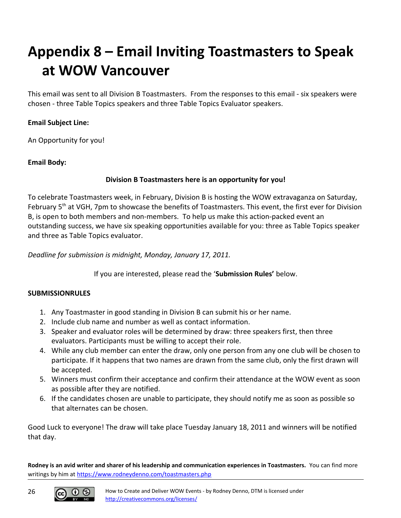# <span id="page-25-0"></span>**Appendix 8 – Email Inviting Toastmasters to Speak at WOW Vancouver**

This email was sent to all Division B Toastmasters. From the responses to this email - six speakers were chosen - three Table Topics speakers and three Table Topics Evaluator speakers.

### **Email Subject Line:**

An Opportunity for you!

#### **Email Body:**

### **Division B Toastmasters here is an opportunity for you!**

To celebrate Toastmasters week, in February, Division B is hosting the WOW extravaganza on Saturday, February 5<sup>th</sup> at VGH, 7pm to showcase the benefits of Toastmasters. This event, the first ever for Division B, is open to both members and non-members. To help us make this action-packed event an outstanding success, we have six speaking opportunities available for you: three as Table Topics speaker and three as Table Topics evaluator.

*Deadline for submission is midnight, Monday, January 17, 2011.* 

If you are interested, please read the '**Submission Rules'** below.

#### **SUBMISSIONRULES**

- 1. Any Toastmaster in good standing in Division B can submit his or her name.
- 2. Include club name and number as well as contact information.
- 3. Speaker and evaluator roles will be determined by draw: three speakers first, then three evaluators. Participants must be willing to accept their role.
- 4. While any club member can enter the draw, only one person from any one club will be chosen to participate. If it happens that two names are drawn from the same club, only the first drawn will be accepted.
- 5. Winners must confirm their acceptance and confirm their attendance at the WOW event as soon as possible after they are notified.
- 6. If the candidates chosen are unable to participate, they should notify me as soon as possible so that alternates can be chosen.

Good Luck to everyone! The draw will take place Tuesday January 18, 2011 and winners will be notified that day.



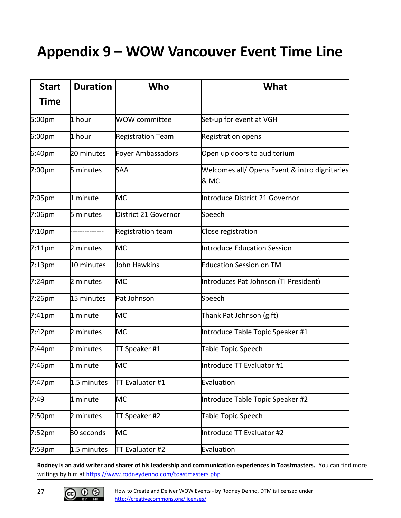### <span id="page-26-0"></span>**Appendix 9 – WOW Vancouver Event Time Line**

| <b>Start</b>       | <b>Duration</b> | Who                      | What                                                  |
|--------------------|-----------------|--------------------------|-------------------------------------------------------|
| <b>Time</b>        |                 |                          |                                                       |
| 5:00pm             | 1 hour          | WOW committee            | Set-up for event at VGH                               |
| 6:00 <sub>pm</sub> | 1 hour          | <b>Registration Team</b> | <b>Registration opens</b>                             |
| 6:40 <sub>pm</sub> | 20 minutes      | Foyer Ambassadors        | Open up doors to auditorium                           |
| 7:00pm             | 5 minutes       | SAA                      | Welcomes all/ Opens Event & intro dignitaries<br>& MC |
| 7:05pm             | 1 minute        | МC                       | Introduce District 21 Governor                        |
| 7:06pm             | 5 minutes       | District 21 Governor     | Speech                                                |
| 7:10 <sub>pm</sub> |                 | <b>Registration team</b> | Close registration                                    |
| $7:11$ pm          | 2 minutes       | MС                       | <b>Introduce Education Session</b>                    |
| $7:13$ pm          | 10 minutes      | John Hawkins             | <b>Education Session on TM</b>                        |
| $7:24$ pm          | 2 minutes       | MС                       | Introduces Pat Johnson (TI President)                 |
| 7:26pm             | 15 minutes      | Pat Johnson              | Speech                                                |
| $7:41$ pm          | 1 minute        | MС                       | Thank Pat Johnson (gift)                              |
| 7:42pm             | 2 minutes       | MС                       | Introduce Table Topic Speaker #1                      |
| 7:44pm             | 2 minutes       | TT Speaker #1            | Table Topic Speech                                    |
| 7:46pm             | 1 minute        | MС                       | Introduce TT Evaluator #1                             |
| $7:47$ pm          | 1.5 minutes     | TT Evaluator #1          | Evaluation                                            |
| 7:49               | 1 minute        | MC                       | Introduce Table Topic Speaker #2                      |
| 7:50pm             | 2 minutes       | TT Speaker #2            | Table Topic Speech                                    |
| 7:52pm             | 30 seconds      | MС                       | Introduce TT Evaluator #2                             |
| $7:53$ pm          | 1.5 minutes     | TT Evaluator #2          | Evaluation                                            |

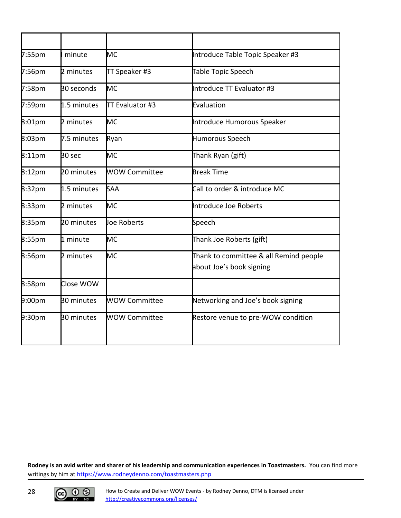| $7:55$ pm          | minute      | МC                   | Introduce Table Topic Speaker #3                                   |
|--------------------|-------------|----------------------|--------------------------------------------------------------------|
| 7:56pm             | 2 minutes   | TT Speaker #3        | Table Topic Speech                                                 |
| 7:58pm             | 30 seconds  | MC                   | Introduce TT Evaluator #3                                          |
| 7:59pm             | 1.5 minutes | TT Evaluator #3      | Evaluation                                                         |
| 8:01pm             | 2 minutes   | MС                   | Introduce Humorous Speaker                                         |
| 8:03pm             | 7.5 minutes | Ryan                 | Humorous Speech                                                    |
| 8:11pm             | 30 sec      | MC                   | Thank Ryan (gift)                                                  |
| 8:12 <sub>pm</sub> | 20 minutes  | WOW Committee        | <b>Break Time</b>                                                  |
| 8:32pm             | 1.5 minutes | SAA                  | Call to order & introduce MC                                       |
| 8:33 <sub>pm</sub> | 2 minutes   | MC                   | Introduce Joe Roberts                                              |
| 8:35pm             | 20 minutes  | lloe Roberts         | Speech                                                             |
| 8:55pm             | 1 minute    | МC                   | Thank Joe Roberts (gift)                                           |
| 8:56pm             | 2 minutes   | МC                   | Thank to committee & all Remind people<br>about Joe's book signing |
| 8:58pm             | Close WOW   |                      |                                                                    |
| 9:00pm             | 30 minutes  | WOW Committee        | Networking and Joe's book signing                                  |
| 9:30pm             | 30 minutes  | <b>WOW Committee</b> | Restore venue to pre-WOW condition                                 |